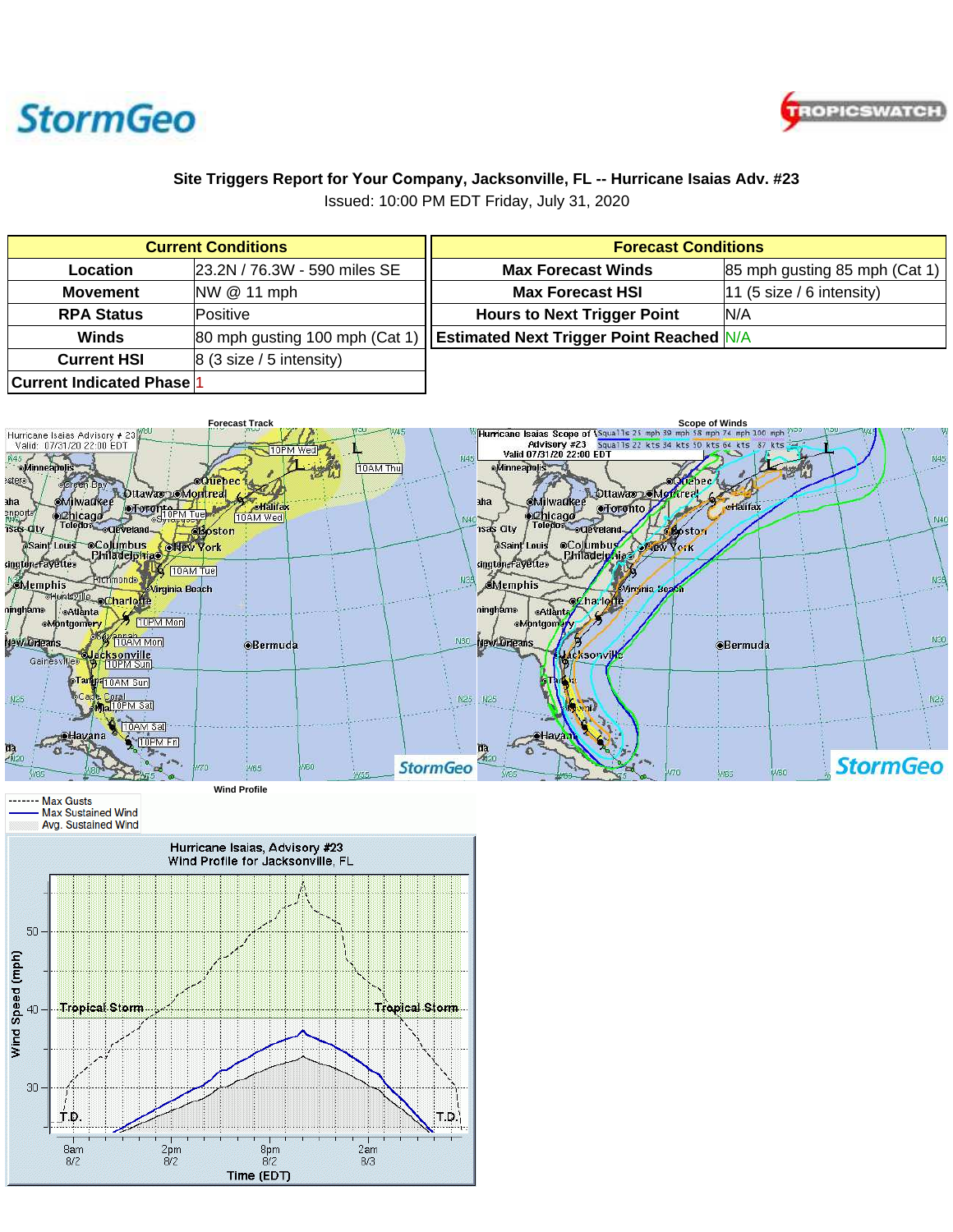



## **Site Triggers Report for Your Company, Jacksonville, FL -- Hurricane Isaias Adv. #23**

Issued: 10:00 PM EDT Friday, July 31, 2020

| <b>Current Conditions</b>                   |                                            | <b>Forecast Conditions</b>              |                               |
|---------------------------------------------|--------------------------------------------|-----------------------------------------|-------------------------------|
| <b>Location</b>                             | 23.2N / 76.3W - 590 miles SE               | <b>Max Forecast Winds</b>               | 85 mph gusting 85 mph (Cat 1) |
| <b>Movement</b>                             | NW @ 11 mph                                | <b>Max Forecast HSI</b>                 | 11 (5 size / 6 intensity)     |
| <b>RPA Status</b>                           | Positive                                   | <b>Hours to Next Trigger Point</b>      | IN/A                          |
| <b>Winds</b>                                | 80 mph gusting 100 mph (Cat 1)             | <b>Solution</b> Sectional Estimated N/A |                               |
| <b>Current HSI</b>                          | $ 8(3 \text{ size } 5 \text{ intensity}) $ |                                         |                               |
| <b>Current Indicated Phase</b> <sup>1</sup> |                                            |                                         |                               |



**Wind Profile**

------ Max Gusts Max Sustained Wind Avg. Sustained Wind